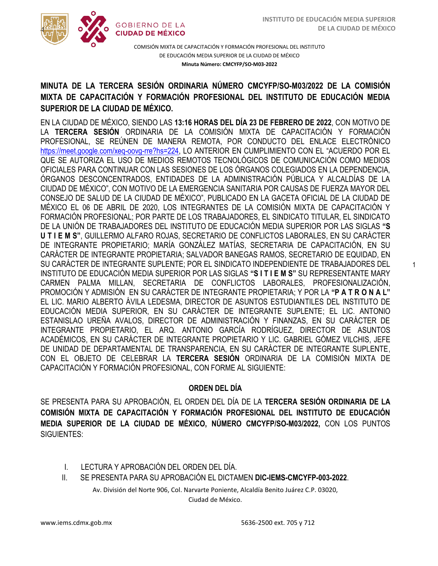1



COMISIÓN MIXTA DE CAPACITACIÓN Y FORMACIÓN PROFESIONAL DEL INSTITUTO DE EDUCACIÓN MEDIA SUPERIOR DE LA CIUDAD DE MÉXICO **Minuta Número: CMCYFP/SO-M03-2022**

# /2020 **MINUTA DE LA TERCERA SESIÓN ORDINARIA NÚMERO CMCYFP/SO-M03/2022 DE LA COMISIÓN SUPERIOR DE LA CIUDAD DE MÉXICO. MIXTA DE CAPACITACIÓN Y FORMACIÓN PROFESIONAL DEL INSTITUTO DE EDUCACIÓN MEDIA**

EN LA CIUDAD DE MÉXICO, SIENDO LAS **13:16 HORAS DEL DÍA 23 DE FEBRERO DE 2022**, CON MOTIVO DE LA **TERCERA SESIÓN** ORDINARIA DE LA COMISIÓN MIXTA DE CAPACITACIÓN Y FORMACIÓN PROFESIONAL, SE REÚNEN DE MANERA REMOTA, POR CONDUCTO DEL ENLACE ELECTRÓNICO [https://meet.google.com/xeq-oovg-rre?hs=224,](https://meet.google.com/xeq-oovg-rre?hs=224) LO ANTERIOR EN CUMPLIMIENTO CON EL "ACUERDO POR EL QUE SE AUTORIZA EL USO DE MEDIOS REMOTOS TECNOLÓGICOS DE COMUNICACIÓN COMO MEDIOS OFICIALES PARA CONTINUAR CON LAS SESIONES DE LOS ÓRGANOS COLEGIADOS EN LA DEPENDENCIA, ÓRGANOS DESCONCENTRADOS, ENTIDADES DE LA ADMINISTRACIÓN PÚBLICA Y ALCALDÍAS DE LA CIUDAD DE MÉXICO", CON MOTIVO DE LA EMERGENCIA SANITARIA POR CAUSAS DE FUERZA MAYOR DEL CONSEJO DE SALUD DE LA CIUDAD DE MÉXICO", PUBLICADO EN LA GACETA OFICIAL DE LA CIUDAD DE MÉXICO EL 06 DE ABRIL DE 2020, LOS INTEGRANTES DE LA COMISIÓN MIXTA DE CAPACITACIÓN Y FORMACIÓN PROFESIONAL; POR PARTE DE LOS TRABAJADORES, EL SINDICATO TITULAR, EL SINDICATO DE LA UNIÓN DE TRABAJADORES DEL INSTITUTO DE EDUCACIÓN MEDIA SUPERIOR POR LAS SIGLAS **"S U T I E M S"**, GUILLERMO ALFARO ROJAS, SECRETARIO DE CONFLICTOS LABORALES, EN SU CARÁCTER DE INTEGRANTE PROPIETARIO; MARÍA GONZÁLEZ MATÍAS, SECRETARIA DE CAPACITACIÓN, EN SU CARÁCTER DE INTEGRANTE PROPIETARIA; SALVADOR BANEGAS RAMOS, SECRETARIO DE EQUIDAD, EN SU CARÁCTER DE INTEGRANTE SUPLENTE; POR EL SINDICATO INDEPENDIENTE DE TRABAJADORES DEL INSTITUTO DE EDUCACIÓN MEDIA SUPERIOR POR LAS SIGLAS **"S I T I E M S"** SU REPRESENTANTE MARY CARMEN PALMA MILLAN, SECRETARIA DE CONFLICTOS LABORALES, PROFESIONALIZACIÓN, PROMOCIÓN Y ADMISIÓN EN SU CARÁCTER DE INTEGRANTE PROPIETARIA; Y POR LA **"P A T R O N A L"** EL LIC. MARIO ALBERTO ÁVILA LEDESMA, DIRECTOR DE ASUNTOS ESTUDIANTILES DEL INSTITUTO DE EDUCACIÓN MEDIA SUPERIOR, EN SU CARÁCTER DE INTEGRANTE SUPLENTE; EL LIC. ANTONIO ESTANISLAO UREÑA AVALOS, DIRECTOR DE ADMINISTRACIÓN Y FINANZAS, EN SU CARÁCTER DE INTEGRANTE PROPIETARIO, EL ARQ. ANTONIO GARCÍA RODRÍGUEZ, DIRECTOR DE ASUNTOS ACADÉMICOS, EN SU CARÁCTER DE INTEGRANTE PROPIETARIO Y LIC. GABRIEL GÓMEZ VILCHIS, JEFE DE UNIDAD DE DEPARTAMENTAL DE TRANSPARENCIA, EN SU CARÁCTER DE INTEGRANTE SUPLENTE, CON EL OBJETO DE CELEBRAR LA **TERCERA SESIÓN** ORDINARIA DE LA COMISIÓN MIXTA DE CAPACITACIÓN Y FORMACIÓN PROFESIONAL, CON FORME AL SIGUIENTE:

## **ORDEN DEL DÍA**

SE PRESENTA PARA SU APROBACIÓN, EL ORDEN DEL DÍA DE LA **TERCERA SESIÓN ORDINARIA DE LA COMISIÓN MIXTA DE CAPACITACIÓN Y FORMACIÓN PROFESIONAL DEL INSTITUTO DE EDUCACIÓN MEDIA SUPERIOR DE LA CIUDAD DE MÉXICO, NÚMERO CMCYFP/SO-M03/2022,** CON LOS PUNTOS SIGUIENTES:

- I. LECTURA Y APROBACIÓN DEL ORDEN DEL DÍA.
- II. SE PRESENTA PARA SU APROBACIÓN EL DICTAMEN **DIC-IEMS-CMCYFP-003-2022**.

Av. División del Norte 906, Col. Narvarte Poniente, Alcaldía Benito Juárez C.P. 03020, Ciudad de México.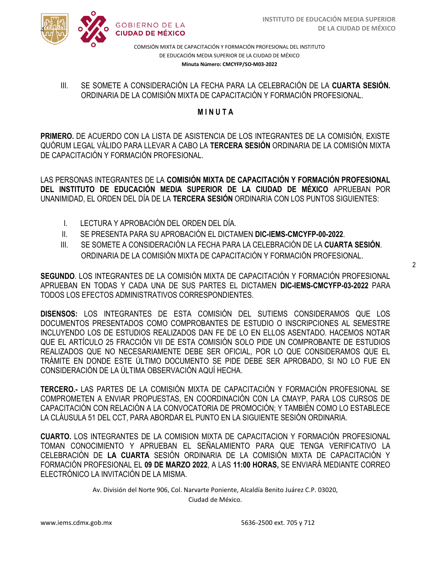



COMISIÓN MIXTA DE CAPACITACIÓN Y FORMACIÓN PROFESIONAL DEL INSTITUTO DE EDUCACIÓN MEDIA SUPERIOR DE LA CIUDAD DE MÉXICO **Minuta Número: CMCYFP/SO-M03-2022**

#### SE SOMETE A CONSIDENTIGION EN TEGITA I ANA EN CELLBINACIÓN DE LA COMISTA<br>ORDINARIA DE LA COMISIÓN MIXTA DE CAPACITACIÓN Y FORMACIÓN PROFESIONAL. III. SE SOMETE A CONSIDERACIÓN LA FECHA PARA LA CELEBRACIÓN DE LA **CUARTA SESIÓN.**

## **M I N U T A**

**PRIMERO.** DE ACUERDO CON LA LISTA DE ASISTENCIA DE LOS INTEGRANTES DE LA COMISIÓN, EXISTE QUÓRUM LEGAL VÁLIDO PARA LLEVAR A CABO LA **TERCERA SESIÓN** ORDINARIA DE LA COMISIÓN MIXTA DE CAPACITACIÓN Y FORMACIÓN PROFESIONAL.

LAS PERSONAS INTEGRANTES DE LA **COMISIÓN MIXTA DE CAPACITACIÓN Y FORMACIÓN PROFESIONAL DEL INSTITUTO DE EDUCACIÓN MEDIA SUPERIOR DE LA CIUDAD DE MÉXICO** APRUEBAN POR UNANIMIDAD, EL ORDEN DEL DÍA DE LA **TERCERA SESIÓN** ORDINARIA CON LOS PUNTOS SIGUIENTES:

- I. LECTURA Y APROBACIÓN DEL ORDEN DEL DÍA.
- II. SE PRESENTA PARA SU APROBACIÓN EL DICTAMEN **DIC-IEMS-CMCYFP-00-2022**.
- III. SE SOMETE A CONSIDERACIÓN LA FECHA PARA LA CELEBRACIÓN DE LA **CUARTA SESIÓN**. ORDINARIA DE LA COMISIÓN MIXTA DE CAPACITACIÓN Y FORMACIÓN PROFESIONAL.

**SEGUNDO**. LOS INTEGRANTES DE LA COMISIÓN MIXTA DE CAPACITACIÓN Y FORMACIÓN PROFESIONAL APRUEBAN EN TODAS Y CADA UNA DE SUS PARTES EL DICTAMEN **DIC-IEMS-CMCYFP-03-2022** PARA TODOS LOS EFECTOS ADMINISTRATIVOS CORRESPONDIENTES.

**DISENSOS:** LOS INTEGRANTES DE ESTA COMISIÓN DEL SUTIEMS CONSIDERAMOS QUE LOS DOCUMENTOS PRESENTADOS COMO COMPROBANTES DE ESTUDIO O INSCRIPCIONES AL SEMESTRE INCLUYENDO LOS DE ESTUDIOS REALIZADOS DAN FE DE LO EN ELLOS ASENTADO. HACEMOS NOTAR QUE EL ARTÍCULO 25 FRACCIÓN VII DE ESTA COMISIÓN SOLO PIDE UN COMPROBANTE DE ESTUDIOS REALIZADOS QUE NO NECESARIAMENTE DEBE SER OFICIAL, POR LO QUE CONSIDERAMOS QUE EL TRÁMITE EN DONDE ESTE ÚLTIMO DOCUMENTO SE PIDE DEBE SER APROBADO, SI NO LO FUE EN CONSIDERACIÓN DE LA ÚLTIMA OBSERVACIÓN AQUÍ HECHA.

**TERCERO.-** LAS PARTES DE LA COMISIÓN MIXTA DE CAPACITACIÓN Y FORMACIÓN PROFESIONAL SE COMPROMETEN A ENVIAR PROPUESTAS, EN COORDINACIÓN CON LA CMAYP, PARA LOS CURSOS DE CAPACITACIÓN CON RELACIÓN A LA CONVOCATORIA DE PROMOCIÓN; Y TAMBIÉN COMO LO ESTABLECE LA CLÁUSULA 51 DEL CCT, PARA ABORDAR EL PUNTO EN LA SIGUIENTE SESIÓN ORDINARIA.

**CUARTO.** LOS INTEGRANTES DE LA COMISION MIXTA DE CAPACITACION Y FORMACIÓN PROFESIONAL TOMAN CONOCIMIENTO Y APRUEBAN EL SEÑALAMIENTO PARA QUE TENGA VERIFICATIVO LA CELEBRACIÓN DE **LA CUARTA** SESIÓN ORDINARIA DE LA COMISIÓN MIXTA DE CAPACITACIÓN Y FORMACIÓN PROFESIONAL EL **09 DE MARZO 2022**, A LAS **11:00 HORAS,** SE ENVIARÁ MEDIANTE CORREO ELECTRÓNICO LA INVITACIÓN DE LA MISMA.

Av. División del Norte 906, Col. Narvarte Poniente, Alcaldía Benito Juárez C.P. 03020,

Ciudad de México.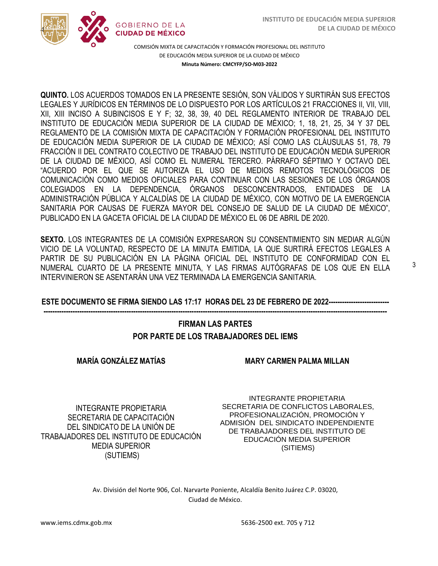

COMISIÓN MIXTA DE CAPACITACIÓN Y FORMACIÓN PROFESIONAL DEL INSTITUTO DE EDUCACIÓN MEDIA SUPERIOR DE LA CIUDAD DE MÉXICO **Minuta Número: CMCYFP/SO-M03-2022**

**QUINTO.** LOS ACUERDOS TOMADOS EN LA PRESENTE SESIÓN, SON VÁLIDOS Y SURTIRÁN SUS EFECTOS  LEGALES Y JURÍDICOS EN TÉRMINOS DE LO DISPUESTO POR LOS ARTÍCULOS 21 FRACCIONES II, VII, VIII, XII, XIII INCISO A SUBINCISOS E Y F; 32, 38, 39, 40 DEL REGLAMENTO INTERIOR DE TRABAJO DEL INSTITUTO DE EDUCACIÓN MEDIA SUPERIOR DE LA CIUDAD DE MÉXICO; 1, 18, 21, 25, 34 Y 37 DEL REGLAMENTO DE LA COMISIÓN MIXTA DE CAPACITACIÓN Y FORMACIÓN PROFESIONAL DEL INSTITUTO DE EDUCACIÓN MEDIA SUPERIOR DE LA CIUDAD DE MÉXICO; ASÍ COMO LAS CLÁUSULAS 51, 78, 79 FRACCIÓN II DEL CONTRATO COLECTIVO DE TRABAJO DEL INSTITUTO DE EDUCACIÓN MEDIA SUPERIOR DE LA CIUDAD DE MÉXICO, ASÍ COMO EL NUMERAL TERCERO. PÁRRAFO SÉPTIMO Y OCTAVO DEL "ACUERDO POR EL QUE SE AUTORIZA EL USO DE MEDIOS REMOTOS TECNOLÓGICOS DE COMUNICACIÓN COMO MEDIOS OFICIALES PARA CONTINUAR CON LAS SESIONES DE LOS ÓRGANOS COLEGIADOS EN LA DEPENDENCIA, ÓRGANOS DESCONCENTRADOS, ENTIDADES DE LA ADMINISTRACIÓN PÚBLICA Y ALCALDÍAS DE LA CIUDAD DE MÉXICO, CON MOTIVO DE LA EMERGENCIA SANITARIA POR CAUSAS DE FUERZA MAYOR DEL CONSEJO DE SALUD DE LA CIUDAD DE MÉXICO", PUBLICADO EN LA GACETA OFICIAL DE LA CIUDAD DE MÉXICO EL 06 DE ABRIL DE 2020.

**SEXTO.** LOS INTEGRANTES DE LA COMISIÓN EXPRESARON SU CONSENTIMIENTO SIN MEDIAR ALGÚN VICIO DE LA VOLUNTAD, RESPECTO DE LA MINUTA EMITIDA, LA QUE SURTIRÁ EFECTOS LEGALES A PARTIR DE SU PUBLICACIÓN EN LA PÁGINA OFICIAL DEL INSTITUTO DE CONFORMIDAD CON EL NUMERAL CUARTO DE LA PRESENTE MINUTA, Y LAS FIRMAS AUTÓGRAFAS DE LOS QUE EN ELLA INTERVINIERON SE ASENTARÁN UNA VEZ TERMINADA LA EMERGENCIA SANITARIA.

#### **ESTE DOCUMENTO SE FIRMA SIENDO LAS 17:17 HORAS DEL 23 DE FEBRERO DE 2022--------------------------- ---------------------------------------------------------------------------------------------------------------------------------------------------------**

## **FIRMAN LAS PARTES POR PARTE DE LOS TRABAJADORES DEL IEMS**

**MARÍA GONZÁLEZ MATÍAS** 

**MARY CARMEN PALMA MILLAN**

INTEGRANTE PROPIETARIA SECRETARIA DE CAPACITACIÓN DEL SINDICATO DE LA UNIÓN DE TRABAJADORES DEL INSTITUTO DE EDUCACIÓN MEDIA SUPERIOR (SUTIEMS)

INTEGRANTE PROPIETARIA SECRETARIA DE CONFLICTOS LABORALES, PROFESIONALIZACIÓN, PROMOCIÓN Y ADMISIÓN DEL SINDICATO INDEPENDIENTE DE TRABAJADORES DEL INSTITUTO DE EDUCACIÓN MEDIA SUPERIOR (SITIEMS)

Av. División del Norte 906, Col. Narvarte Poniente, Alcaldía Benito Juárez C.P. 03020, Ciudad de México.